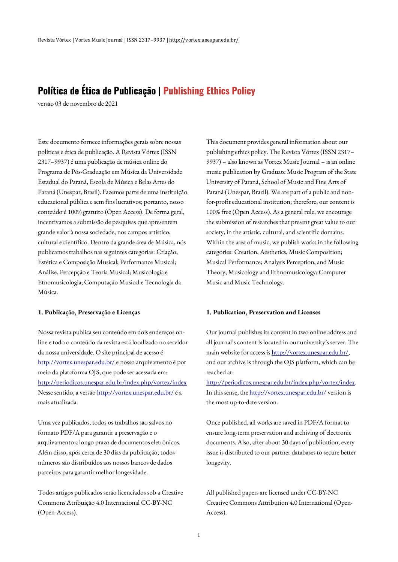# **Política de Ética de Publicação | Publishing Ethics Policy**

versão 03 de novembro de 2021

Este documento fornece informações gerais sobre nossas políticas e ética de publicação. A Revista Vórtex (ISSN 2317–9937) é uma publicação de música online do Programa de Pós-Graduação em Música da Universidade Estadual do Paraná, Escola de Música e Belas Artes do Paraná(Unespar, Brasil). Fazemos parte de uma instituição educacional pública e sem fins lucrativos; portanto, nosso conteúdo é 100% gratuito (Open Access). De forma geral, incentivamos a submissão de pesquisas que apresentem grande valor à nossa sociedade, nos campos artístico, cultural e científico. Dentro da grande área de Música, nós publicamos trabalhos nas seguintes categorias: Criação, Estética e Composição Musical; Performance Musical; Análise, Percepção e Teoria Musical; Musicologia e Etnomusicologia; Computação Musical e Tecnologia da Música.

## **1. Publicação, Preservação e Licenças**

Nossa revista publica seu conteúdo em dois endereços online e todo o conteúdo da revista está localizado no servidor da nossa universidade. O site principal de acesso é [http://vortex.unespar.edu.br/](http://vortex.unespar.edu.br/,) e nosso arquivamento é por meio da plataforma OJS, que pode ser acessada em: <http://periodicos.unespar.edu.br/index.php/vortex/index> Nesse sentido, a versã[o http://vortex.unespar.edu.br/](http://vortex.unespar.edu.br/) é a mais atualizada.

Uma vez publicados, todos os trabalhos são salvos no formato PDF/A para garantir a preservação e o arquivamento alongo prazo de documentos eletrônicos. Além disso, após cerca de 30 dias da publicação, todos números são distribuídos aos nossos bancos de dados parceiros para garantir melhor longevidade.

Todos artigos publicados serão licenciados sob a Creative Commons Atribuição 4.0 Internacional CC-BY-NC (Open-Access).

This document provides general information about our publishing ethics policy. The Revista Vórtex (ISSN 2317– 9937) – also known as Vortex Music Journal – is an online music publication by Graduate Music Program of the State University of Paraná, School of Music and Fine Arts of Paraná (Unespar, Brazil). We are part of a public and nonfor-profit educational institution; therefore, our content is 100% free (Open Access). As a general rule, we encourage the submission of researches that present great value to our society, in the artistic, cultural, and scientific domains. Within the area of music, we publish works in the following categories: Creation, Aesthetics, Music Composition; Musical Performance; Analysis Perception, and Music Theory; Musicology and Ethnomusicology; Computer Music and Music Technology.

#### **1. Publication, Preservation and Licenses**

Our journal publishes its content in two online address and all journal's content is located in our university's server. The main website for access i[s http://vortex.unespar.edu.br/,](http://vortex.unespar.edu.br/)  and our archive is through the OJS platform, which can be reached at:

[http://periodicos.unespar.edu.br/index.php/vortex/index.](http://periodicos.unespar.edu.br/index.php/vortex/index) In this sense, the <http://vortex.unespar.edu.br/> version is the most up-to-date version.

Once published, all works are saved in PDF/A format to ensure long-term preservation and archiving of electronic documents. Also, after about 30 days of publication, every issue is distributed to our partner databases to secure better longevity.

All published papers are licensed under CC-BY-NC Creative Commons Attribution 4.0 International (Open-Access).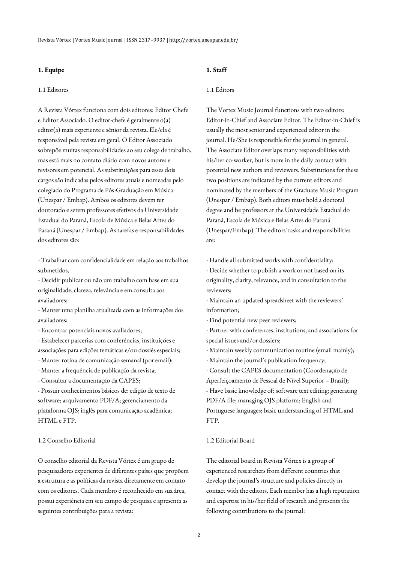## **1. Equipe**

#### 1.1 Editores

A Revista Vórtex funciona com dois editores: Editor Chefe e Editor Associado. O editor-chefe é geralmente o(a) editor(a) mais experiente e sênior da revista. Ele/ela é responsável pela revista em geral. O Editor Associado sobrepõe muitas responsabilidades ao seu colega de trabalho, mas está mais no contato diário com novos autores e revisores em potencial. As substituições para esses dois cargos são indicadas pelos editores atuais e nomeadas pelo colegiado do Programa de Pós-Graduação em Música (Unespar / Embap). Ambos os editores devem ter doutorado e serem professores efetivos da Universidade Estadual do Paraná, Escola de Música e Belas Artes do Paraná (Unespar / Embap). As tarefas e responsabilidades dos editores são:

- Trabalhar com confidencialidade em relação aos trabalhos submetidos,

- Decidir publicar ou não um trabalho com base em sua originalidade, clareza, relevância e em consulta aos avaliadores;

- Manter uma planilha atualizada com as informações dos avaliadores;

- Encontrar potenciais novos avaliadores;
- Estabelecer parcerias com conferências, instituições e associações para edições temáticas e/ou dossiês especiais;
- Manter rotina de comunicação semanal (por email);
- Manter a frequência de publicação da revista;
- Consultar a documentação da CAPES;

- Possuir conhecimentos básicos de: edição de texto de software; arquivamento PDF/A; gerenciamento da plataforma OJS; inglês para comunicação acadêmica; HTML e FTP.

#### 1.2 Conselho Editorial

O conselho editorial da Revista Vórtex é um grupo de pesquisadores experientes de diferentes países que propõem a estrutura e as políticas da revista diretamente em contato com os editores. Cada membro é reconhecido em sua área, possui experiência em seu campo de pesquisa e apresenta as seguintes contribuições para a revista:

# **1. Staff**

#### 1.1 Editors

The Vortex Music Journal functions with two editors: Editor-in-Chief and Associate Editor. The Editor-in-Chief is usually the most senior and experienced editor in the journal. He/She is responsible for the journal in general. The Associate Editor overlaps many responsibilities with his/her co-worker, but is more in the daily contact with potential new authors and reviewers. Substitutions for these two positions are indicated by the current editors and nominated by the members of the Graduate Music Program (Unespar / Embap). Both editors must hold a doctoral degree and be professors at the Universidade Estadual do Paraná, Escola de Música e Belas Artes do Paraná (Unespar/Embap). The editors' tasks and responsibilities are:

- Handle all submitted works with confidentiality;

- Decide whether to publish a work or not based on its originality, clarity, relevance, and in consultation to the reviewers;

- Maintain an updated spreadsheet with the reviewers' information;

- Find potential new peer reviewers;

- Partner with conferences, institutions, and associations for special issues and/or dossiers;

- Maintain weekly communication routine (email mainly);

- Maintain the journal's publication frequency;

- Consult the CAPES documentation (Coordenação de

Aperfeiçoamento de Pessoal de Nível Superior – Brazil);

- Have basic knowledge of: software text editing; generating PDF/A file; managing OJS platform; English and Portuguese languages; basic understanding of HTML and FTP.

#### 1.2 Editorial Board

The editorial board in Revista Vórtex is a group of experienced researchers from different countries that develop the journal's structure and policies directly in contact with the editors. Each member has a high reputation and expertise in his/her field of research and presents the following contributions to the journal: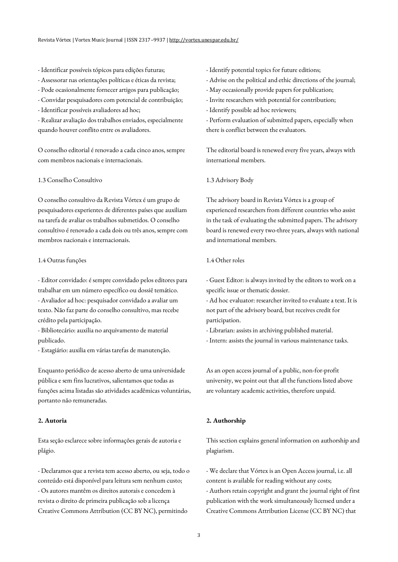- Identificar possíveis tópicos para edições futuras;
- Assessorar nas orientações políticas e éticas da revista;
- Pode ocasionalmente fornecer artigos para publicação;
- Convidar pesquisadores com potencial de contribuição;
- Identificar possíveis avaliadores ad hoc;

- Realizar avaliação dos trabalhos enviados, especialmente quando houver conflito entre os avaliadores.

O conselho editorial é renovado a cada cinco anos, sempre com membros nacionais e internacionais.

### 1.3 Conselho Consultivo

O conselho consultivo da Revista Vórtex é um grupo de pesquisadores experientes de diferentes países que auxiliam na tarefa de avaliar os trabalhos submetidos. O conselho consultivo é renovado a cada dois ou três anos, sempre com membros nacionais e internacionais.

#### 1.4 Outras funções

- Editor convidado: é sempre convidado pelos editores para trabalhar em um número específico ou dossiê temático. - Avaliador ad hoc: pesquisador convidado a avaliar um texto. Não faz parte do conselho consultivo, mas recebe

crédito pela participação. - Bibliotecário: auxilia no arquivamento de material publicado.

- Estagiário: auxilia em várias tarefas de manutenção.

Enquanto periódico de acesso aberto de uma universidade pública e sem fins lucrativos, salientamos que todas as funções acima listadas são atividades acadêmicas voluntárias, portanto não remuneradas.

# **2. Autoria**

Esta seção esclarece sobre informações gerais de autoria e plágio.

- Declaramos que a revista tem acesso aberto, ou seja, todo o conteúdo está disponível para leitura sem nenhum custo; - Os autores mantêm os direitos autorais e concedem à revista o direito de primeira publicação sob a licença Creative Commons Attribution (CC BY NC), permitindo

- Identify potential topics for future editions;
- Advise on the political and ethic directions of the journal;
- May occasionally provide papers for publication;
- Invite researchers with potential for contribution;

- Identify possible ad hoc reviewers;

- Perform evaluation of submitted papers, especially when there is conflict between the evaluators.

The editorial board is renewed every five years, always with international members.

1.3 Advisory Body

The advisory board in Revista Vórtex is a group of experienced researchers from different countries who assist in the task of evaluating the submitted papers. The advisory board is renewed every two-three years, always with national and international members.

## 1.4 Other roles

- Guest Editor: is always invited by the editors to work on a specific issue or thematic dossier.

- Ad hoc evaluator: researcher invited to evaluate a text. It is not part of the advisory board, but receives credit for participation.

- Librarian: assists in archiving published material.

- Intern: assists the journal in various maintenance tasks.

As an open access journal of a public, non-for-profit university, we point out that all the functions listed above are voluntary academic activities, therefore unpaid.

#### **2. Authorship**

This section explains general information on authorship and plagiarism.

- We declare that Vórtex is an Open Access journal, i.e. all content is available for reading without any costs; - Authors retain copyright and grant the journal right of first publication with the work simultaneously licensed under a Creative Commons Attribution License (CC BY NC) that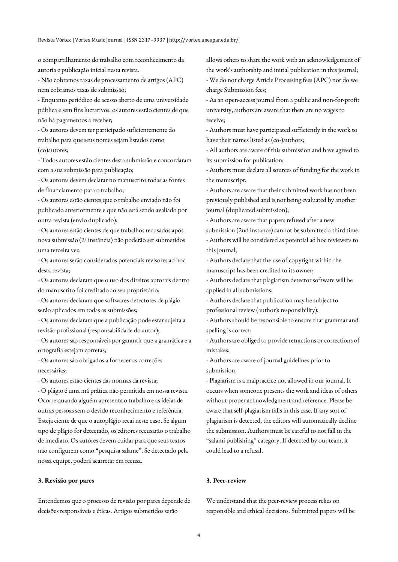o compartilhamento do trabalho com reconhecimento da autoria e publicação inicial nesta revista.

- Não cobramos taxas de processamento de artigos (APC) nem cobramos taxas de submissão;

- Enquanto periódico de acesso aberto de uma universidade pública e sem fins lucrativos, os autores estão cientes de que não há pagamentos a receber;

- Os autores devem ter participado suficientemente do trabalho para que seus nomes sejam listados como (co)autores;

- Todos autores estão cientes desta submissão e concordaram com a sua submissão para publicação;

- Os autores devem declarar no manuscrito todas as fontes de financiamento para o trabalho;

- Os autores estão cientes que o trabalho enviado não foi publicado anteriormente e que não está sendo avaliado por outra revista (envio duplicado);

- Os autores estão cientes de que trabalhos recusados após nova submissão (2ª instância) não poderão ser submetidos uma terceira vez.

- Os autores serão considerados potenciais revisores ad hoc desta revista;

- Os autores declaram que o uso dos direitos autorais dentro do manuscrito foi creditado ao seu proprietário;

- Os autores declaram que softwares detectores de plágio serão aplicados em todas as submissões;

- Os autores declaram que a publicação pode estar sujeita a revisão profissional (responsabilidade do autor);

- Os autores são responsáveis por garantir que a gramática e a ortografia estejam corretas;

- Os autores são obrigados a fornecer as correções necessárias;

- Os autores estão cientes das normas da revista;

- O plágio é uma má prática não permitida em nossa revista. Ocorre quando alguém apresenta o trabalho e as ideias de outras pessoas sem o devido reconhecimento e referência. Esteja ciente de que o autoplágio recai neste caso. Se algum tipo de plágio for detectado, os editores recusarão o trabalho de imediato. Os autores devem cuidar para que seus textos não configurem como "pesquisa salame". Se detectado pela nossa equipe, poderá acarretar em recusa.

#### **3. Revisão por pares**

Entendemos que o processo de revisão por pares depende de decisões responsáveis e éticas. Artigos submetidos serão

allows others to share the work with an acknowledgement of the work's authorship and initial publication in this journal; - We do not charge Article Processing fees (APC) nor do we charge Submission fees;

- As an open-access journal from a public and non-for-profit university, authors are aware that there are no wages to receive;

- Authors must have participated sufficiently in the work to have their names listed as (co-)authors;

- All authors are aware of this submission and have agreed to its submission for publication;

- Authors must declare all sources of funding for the work in the manuscript;

- Authors are aware that their submitted work has not been previously published and is not being evaluated by another journal (duplicated submission);

- Authors are aware that papers refused after a new submission (2nd instance) cannot be submitted a third time. - Authors will be considered as potential ad hoc reviewers to this journal;

- Authors declare that the use of copyright within the manuscript has been credited to its owner;

- Authors declare that plagiarism detector software will be applied in all submissions;

- Authors declare that publication may be subject to professional review (author's responsibility);

- Authors should be responsible to ensure that grammar and spelling is correct;

- Authors are obliged to provide retractions or corrections of mistakes;

- Authors are aware of journal guidelines prior to submission.

- Plagiarism is a malpractice not allowed in our journal. It occurs when someone presents the work and ideas of others without proper acknowledgment and reference. Please be aware that self-plagiarism falls in this case. If any sort of plagiarism is detected, the editors will automatically decline the submission. Authors must be careful to not fall in the "salami publishing" category. If detected by our team, it could lead to a refusal.

#### **3. Peer-review**

We understand that the peer-review process relies on responsible and ethical decisions. Submitted papers will be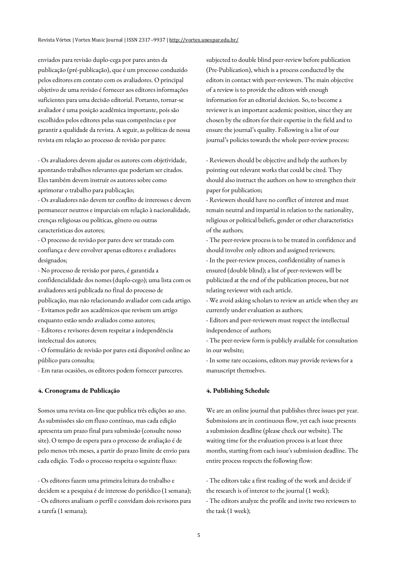enviados para revisão duplo-cega por pares antes da publicação (pré-publicação), que é um processo conduzido pelos editores em contato com os avaliadores. O principal objetivo de uma revisão é fornecer aos editores informações suficientes para uma decisão editorial. Portanto, tornar-se avaliador é uma posição acadêmica importante, pois são escolhidos pelos editores pelas suas competências e por garantir a qualidade da revista. A seguir, as políticas de nossa revista em relação ao processo de revisão por pares:

- Os avaliadores devem ajudar os autores com objetividade, apontando trabalhos relevantes que poderiam ser citados. Eles também devem instruir os autores sobre como aprimorar o trabalho para publicação;

- Os avaliadores não devem ter conflito de interesses e devem permanecer neutros e imparciais em relação à nacionalidade, crenças religiosas ou políticas, gênero ou outras características dos autores;

- O processo de revisão por pares deve ser tratado com confiança e deve envolver apenas editores e avaliadores designados;

- No processo de revisão por pares, é garantida a confidencialidade dos nomes (duplo-cego); uma lista com os avaliadores será publicada no final do processo de publicação, mas não relacionando avaliador com cada artigo.

- Evitamos pedir aos acadêmicos que revisem um artigo enquanto estão sendo avaliados como autores;

- Editores e revisores devem respeitar a independência intelectual dos autores;

- O formulário de revisão por pares está disponível online ao público para consulta;

- Em raras ocasiões, os editores podem fornecer pareceres.

#### **4. Cronograma de Publicação**

Somos uma revista on-line que publica três edições ao ano. As submissões são em fluxo contínuo, mas cada edição apresenta um prazo final para submissão (consulte nosso site). O tempo de espera para o processo de avaliação é de pelo menos três meses, a partir do prazo limite de envio para cada edição. Todo o processo respeita o seguinte fluxo:

- Os editores fazem uma primeira leitura do trabalho e decidem se a pesquisa é de interesse do periódico (1 semana); - Os editores analisam o perfil e convidam dois revisores para a tarefa (1 semana);

subjected to double blind peer-review before publication (Pre-Publication), which is a process conducted by the editors in contact with peer-reviewers. The main objective of a review is to provide the editors with enough information for an editorial decision. So, to become a reviewer is an important academic position, since they are chosen by the editors for their expertise in the field and to ensure the journal's quality. Following is a list of our journal's policies towards the whole peer-review process:

- Reviewers should be objective and help the authors by pointing out relevant works that could be cited. They should also instruct the authors on how to strengthen their paper for publication;

- Reviewers should have no conflict of interest and must remain neutral and impartial in relation to the nationality, religious or political beliefs, gender or other characteristics of the authors;

- The peer-review process is to be treated in confidence and should involve only editors and assigned reviewers;

- In the peer-review process, confidentiality of names is ensured (double blind); a list of peer-reviewers will be publicized at the end of the publication process, but not relating reviewer with each article.

- We avoid asking scholars to review an article when they are currently under evaluation as authors;

- Editors and peer-reviewers must respect the intellectual independence of authors;

- The peer-review form is publicly available for consultation in our website;

- In some rare occasions, editors may provide reviews for a manuscript themselves.

## **4. Publishing Schedule**

We are an online journal that publishes three issues per year. Submissions are in continuous flow, yet each issue presents a submission deadline (please check our website). The waiting time for the evaluation process is at least three months, starting from each issue's submission deadline. The entire process respects the following flow:

- The editors take a first reading of the work and decide if the research is of interest to the journal (1 week); - The editors analyze the profile and invite two reviewers to the task (1 week);